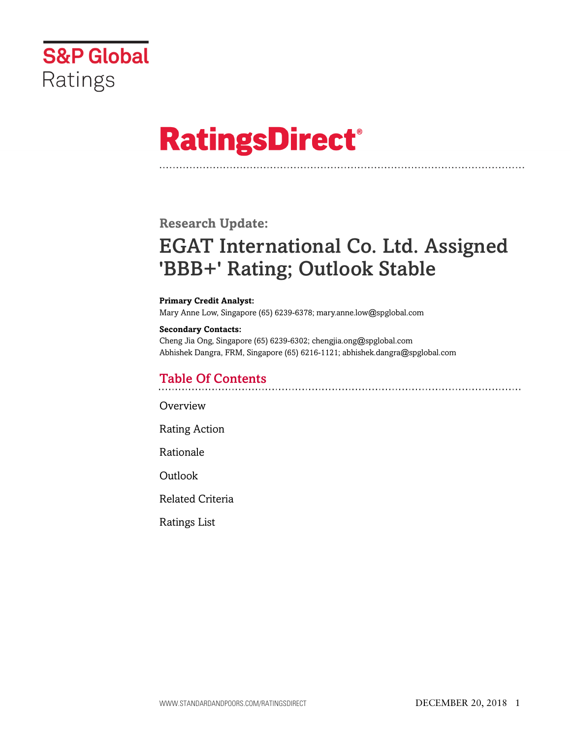

# **RatingsDirect®**

# **Research Update:**

# EGAT International Co. Ltd. Assigned 'BBB+' Rating; Outlook Stable

#### **Primary Credit Analyst:**

Mary Anne Low, Singapore (65) 6239-6378; mary.anne.low@spglobal.com

#### **Secondary Contacts:**

Cheng Jia Ong, Singapore (65) 6239-6302; chengjia.ong@spglobal.com Abhishek Dangra, FRM, Singapore (65) 6216-1121; abhishek.dangra@spglobal.com

# Table Of Contents

**[Overview](#page-1-0)** 

[Rating Action](#page-1-1)

[Rationale](#page-1-2)

[Outlook](#page-4-0)

[Related Criteria](#page-5-0)

[Ratings List](#page-5-1)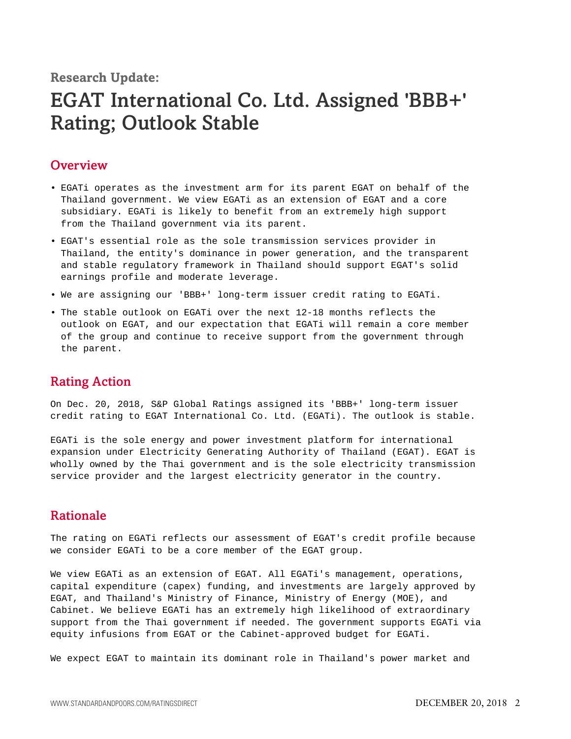**Research Update:**

# EGAT International Co. Ltd. Assigned 'BBB+' Rating; Outlook Stable

## <span id="page-1-0"></span>**Overview**

- EGATi operates as the investment arm for its parent EGAT on behalf of the Thailand government. We view EGATi as an extension of EGAT and a core subsidiary. EGATi is likely to benefit from an extremely high support from the Thailand government via its parent.
- EGAT's essential role as the sole transmission services provider in Thailand, the entity's dominance in power generation, and the transparent and stable regulatory framework in Thailand should support EGAT's solid earnings profile and moderate leverage.
- We are assigning our 'BBB+' long-term issuer credit rating to EGATi.
- The stable outlook on EGATi over the next 12-18 months reflects the outlook on EGAT, and our expectation that EGATi will remain a core member of the group and continue to receive support from the government through the parent.

### <span id="page-1-1"></span>Rating Action

On Dec. 20, 2018, S&P Global Ratings assigned its 'BBB+' long-term issuer credit rating to EGAT International Co. Ltd. (EGATi). The outlook is stable.

EGATi is the sole energy and power investment platform for international expansion under Electricity Generating Authority of Thailand (EGAT). EGAT is wholly owned by the Thai government and is the sole electricity transmission service provider and the largest electricity generator in the country.

# <span id="page-1-2"></span>Rationale

The rating on EGATi reflects our assessment of EGAT's credit profile because we consider EGATi to be a core member of the EGAT group.

We view EGATi as an extension of EGAT. All EGATi's management, operations, capital expenditure (capex) funding, and investments are largely approved by EGAT, and Thailand's Ministry of Finance, Ministry of Energy (MOE), and Cabinet. We believe EGATi has an extremely high likelihood of extraordinary support from the Thai government if needed. The government supports EGATi via equity infusions from EGAT or the Cabinet-approved budget for EGATi.

We expect EGAT to maintain its dominant role in Thailand's power market and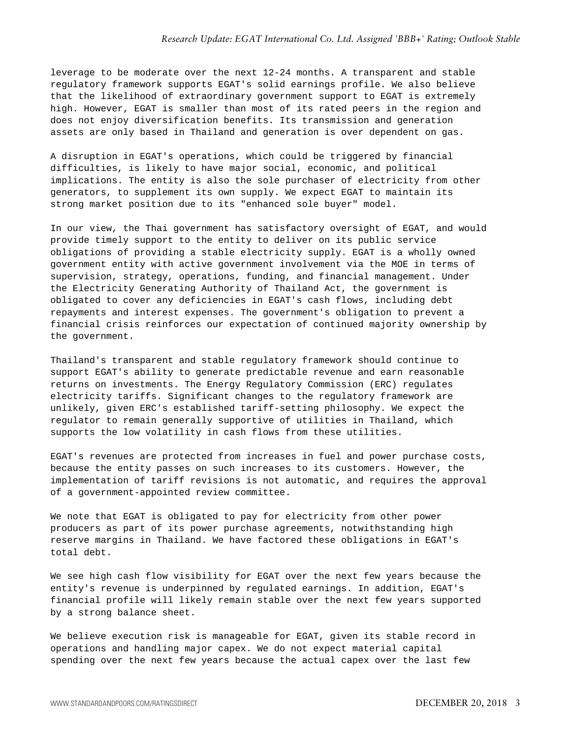leverage to be moderate over the next 12-24 months. A transparent and stable regulatory framework supports EGAT's solid earnings profile. We also believe that the likelihood of extraordinary government support to EGAT is extremely high. However, EGAT is smaller than most of its rated peers in the region and does not enjoy diversification benefits. Its transmission and generation assets are only based in Thailand and generation is over dependent on gas.

A disruption in EGAT's operations, which could be triggered by financial difficulties, is likely to have major social, economic, and political implications. The entity is also the sole purchaser of electricity from other generators, to supplement its own supply. We expect EGAT to maintain its strong market position due to its "enhanced sole buyer" model.

In our view, the Thai government has satisfactory oversight of EGAT, and would provide timely support to the entity to deliver on its public service obligations of providing a stable electricity supply. EGAT is a wholly owned government entity with active government involvement via the MOE in terms of supervision, strategy, operations, funding, and financial management. Under the Electricity Generating Authority of Thailand Act, the government is obligated to cover any deficiencies in EGAT's cash flows, including debt repayments and interest expenses. The government's obligation to prevent a financial crisis reinforces our expectation of continued majority ownership by the government.

Thailand's transparent and stable regulatory framework should continue to support EGAT's ability to generate predictable revenue and earn reasonable returns on investments. The Energy Regulatory Commission (ERC) regulates electricity tariffs. Significant changes to the regulatory framework are unlikely, given ERC's established tariff-setting philosophy. We expect the regulator to remain generally supportive of utilities in Thailand, which supports the low volatility in cash flows from these utilities.

EGAT's revenues are protected from increases in fuel and power purchase costs, because the entity passes on such increases to its customers. However, the implementation of tariff revisions is not automatic, and requires the approval of a government-appointed review committee.

We note that EGAT is obligated to pay for electricity from other power producers as part of its power purchase agreements, notwithstanding high reserve margins in Thailand. We have factored these obligations in EGAT's total debt.

We see high cash flow visibility for EGAT over the next few years because the entity's revenue is underpinned by regulated earnings. In addition, EGAT's financial profile will likely remain stable over the next few years supported by a strong balance sheet.

We believe execution risk is manageable for EGAT, given its stable record in operations and handling major capex. We do not expect material capital spending over the next few years because the actual capex over the last few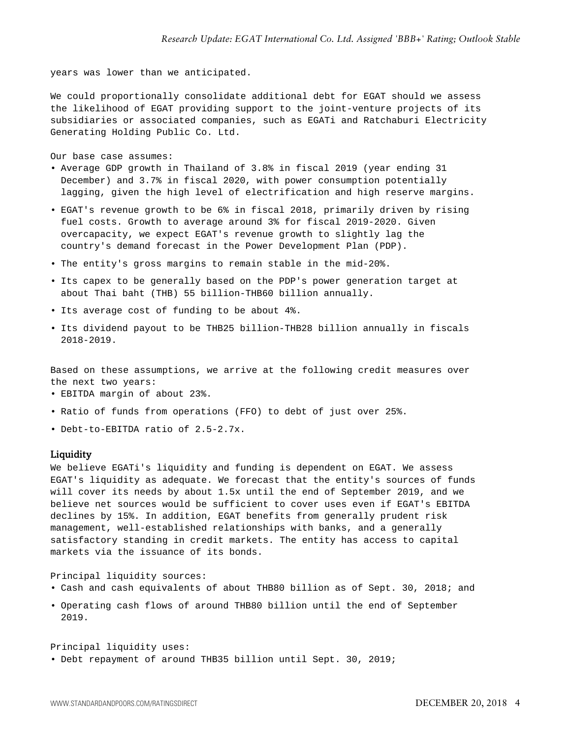years was lower than we anticipated.

We could proportionally consolidate additional debt for EGAT should we assess the likelihood of EGAT providing support to the joint-venture projects of its subsidiaries or associated companies, such as EGATi and Ratchaburi Electricity Generating Holding Public Co. Ltd.

Our base case assumes:

- Average GDP growth in Thailand of 3.8% in fiscal 2019 (year ending 31 December) and 3.7% in fiscal 2020, with power consumption potentially lagging, given the high level of electrification and high reserve margins.
- EGAT's revenue growth to be 6% in fiscal 2018, primarily driven by rising fuel costs. Growth to average around 3% for fiscal 2019-2020. Given overcapacity, we expect EGAT's revenue growth to slightly lag the country's demand forecast in the Power Development Plan (PDP).
- The entity's gross margins to remain stable in the mid-20%.
- Its capex to be generally based on the PDP's power generation target at about Thai baht (THB) 55 billion-THB60 billion annually.
- Its average cost of funding to be about 4%.
- Its dividend payout to be THB25 billion-THB28 billion annually in fiscals 2018-2019.

Based on these assumptions, we arrive at the following credit measures over the next two years:

- EBITDA margin of about 23%.
- Ratio of funds from operations (FFO) to debt of just over 25%.
- Debt-to-EBITDA ratio of 2.5-2.7x.

#### Liquidity

We believe EGATi's liquidity and funding is dependent on EGAT. We assess EGAT's liquidity as adequate. We forecast that the entity's sources of funds will cover its needs by about 1.5x until the end of September 2019, and we believe net sources would be sufficient to cover uses even if EGAT's EBITDA declines by 15%. In addition, EGAT benefits from generally prudent risk management, well-established relationships with banks, and a generally satisfactory standing in credit markets. The entity has access to capital markets via the issuance of its bonds.

Principal liquidity sources:

- Cash and cash equivalents of about THB80 billion as of Sept. 30, 2018; and
- Operating cash flows of around THB80 billion until the end of September 2019.

Principal liquidity uses:

• Debt repayment of around THB35 billion until Sept. 30, 2019;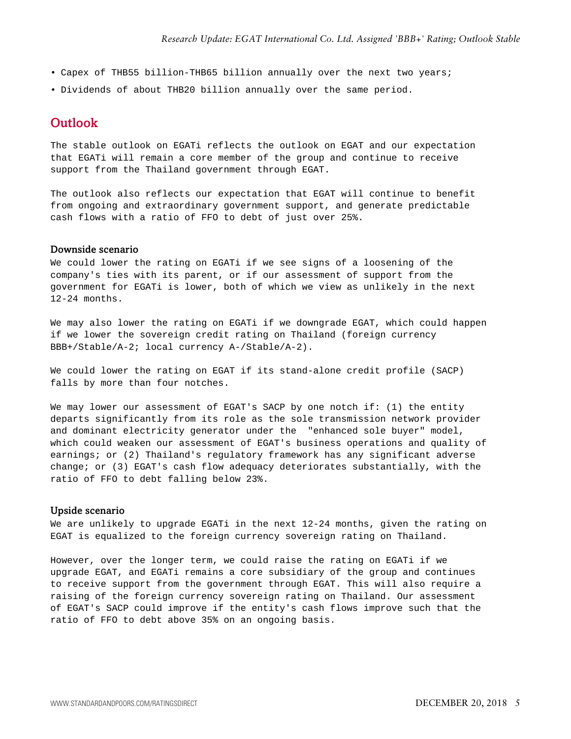- Capex of THB55 billion-THB65 billion annually over the next two years;
- <span id="page-4-0"></span>• Dividends of about THB20 billion annually over the same period.

### **Outlook**

The stable outlook on EGATi reflects the outlook on EGAT and our expectation that EGATi will remain a core member of the group and continue to receive support from the Thailand government through EGAT.

The outlook also reflects our expectation that EGAT will continue to benefit from ongoing and extraordinary government support, and generate predictable cash flows with a ratio of FFO to debt of just over 25%.

#### Downside scenario

We could lower the rating on EGATi if we see signs of a loosening of the company's ties with its parent, or if our assessment of support from the government for EGATi is lower, both of which we view as unlikely in the next 12-24 months.

We may also lower the rating on EGATi if we downgrade EGAT, which could happen if we lower the sovereign credit rating on Thailand (foreign currency BBB+/Stable/A-2; local currency A-/Stable/A-2).

We could lower the rating on EGAT if its stand-alone credit profile (SACP) falls by more than four notches.

We may lower our assessment of EGAT's SACP by one notch if: (1) the entity departs significantly from its role as the sole transmission network provider and dominant electricity generator under the "enhanced sole buyer" model, which could weaken our assessment of EGAT's business operations and quality of earnings; or (2) Thailand's regulatory framework has any significant adverse change; or (3) EGAT's cash flow adequacy deteriorates substantially, with the ratio of FFO to debt falling below 23%.

#### Upside scenario

We are unlikely to upgrade EGATi in the next 12-24 months, given the rating on EGAT is equalized to the foreign currency sovereign rating on Thailand.

However, over the longer term, we could raise the rating on EGATi if we upgrade EGAT, and EGATi remains a core subsidiary of the group and continues to receive support from the government through EGAT. This will also require a raising of the foreign currency sovereign rating on Thailand. Our assessment of EGAT's SACP could improve if the entity's cash flows improve such that the ratio of FFO to debt above 35% on an ongoing basis.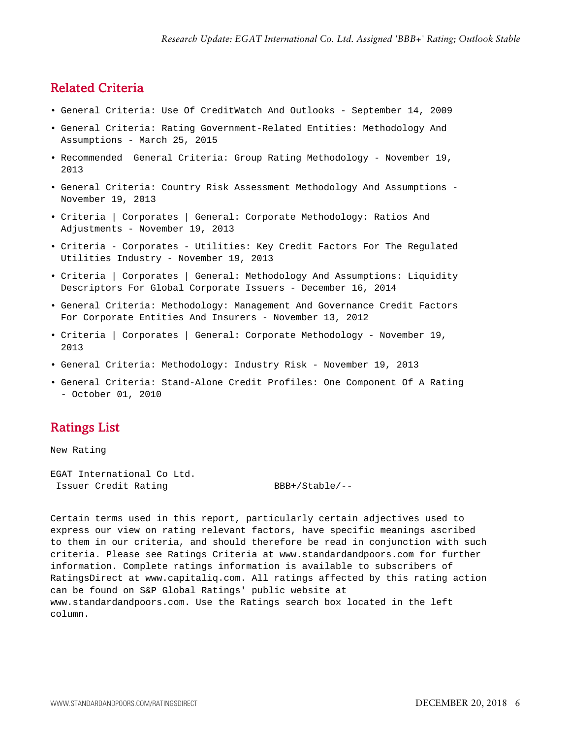# <span id="page-5-0"></span>Related Criteria

- General Criteria: Use Of CreditWatch And Outlooks September 14, 2009
- General Criteria: Rating Government-Related Entities: Methodology And Assumptions - March 25, 2015
- Recommended General Criteria: Group Rating Methodology November 19, 2013
- General Criteria: Country Risk Assessment Methodology And Assumptions November 19, 2013
- Criteria | Corporates | General: Corporate Methodology: Ratios And Adjustments - November 19, 2013
- Criteria Corporates Utilities: Key Credit Factors For The Regulated Utilities Industry - November 19, 2013
- Criteria | Corporates | General: Methodology And Assumptions: Liquidity Descriptors For Global Corporate Issuers - December 16, 2014
- General Criteria: Methodology: Management And Governance Credit Factors For Corporate Entities And Insurers - November 13, 2012
- Criteria | Corporates | General: Corporate Methodology November 19, 2013
- General Criteria: Methodology: Industry Risk November 19, 2013
- General Criteria: Stand-Alone Credit Profiles: One Component Of A Rating - October 01, 2010

# <span id="page-5-1"></span>Ratings List

New Rating

EGAT International Co Ltd. Issuer Credit Rating BBB+/Stable/--

Certain terms used in this report, particularly certain adjectives used to express our view on rating relevant factors, have specific meanings ascribed to them in our criteria, and should therefore be read in conjunction with such criteria. Please see Ratings Criteria at www.standardandpoors.com for further information. Complete ratings information is available to subscribers of RatingsDirect at www.capitaliq.com. All ratings affected by this rating action can be found on S&P Global Ratings' public website at www.standardandpoors.com. Use the Ratings search box located in the left column.